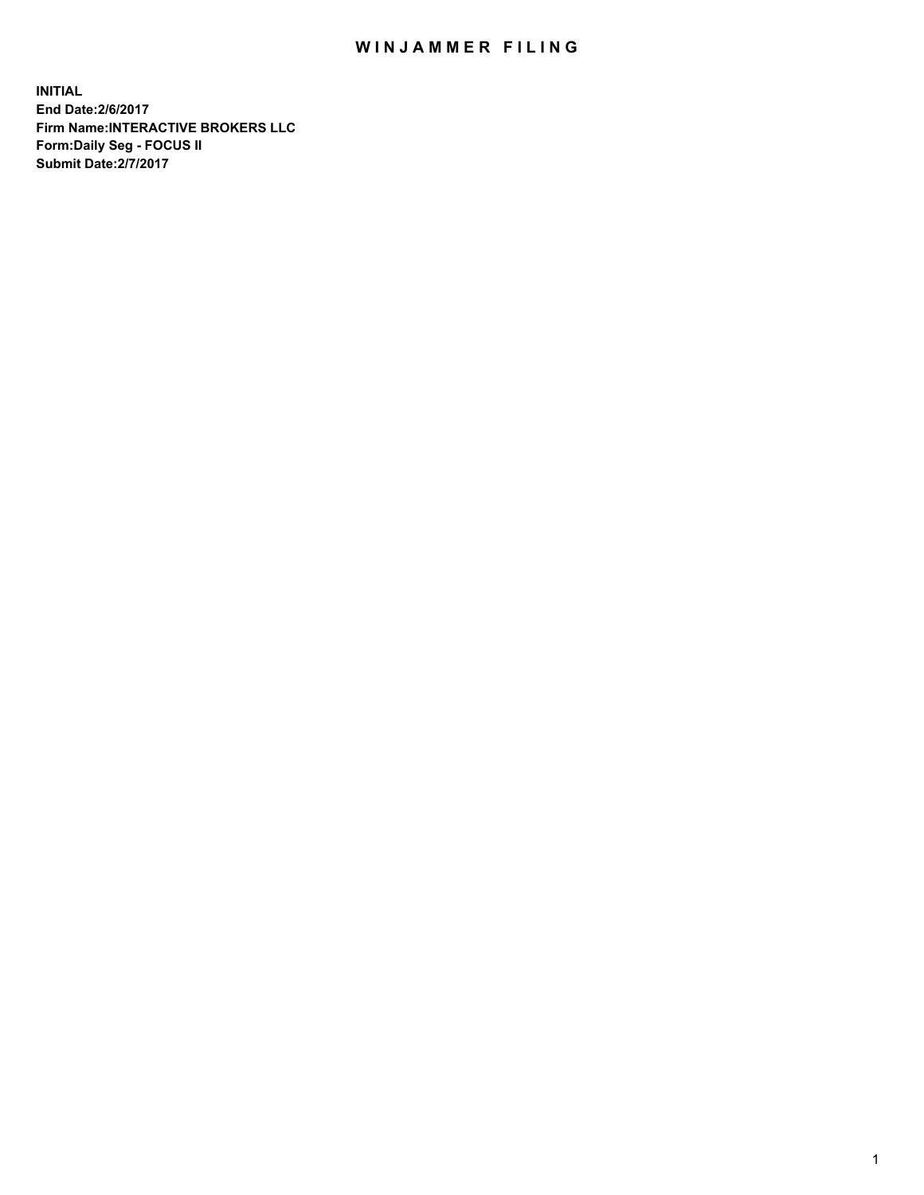## WIN JAMMER FILING

**INITIAL End Date:2/6/2017 Firm Name:INTERACTIVE BROKERS LLC Form:Daily Seg - FOCUS II Submit Date:2/7/2017**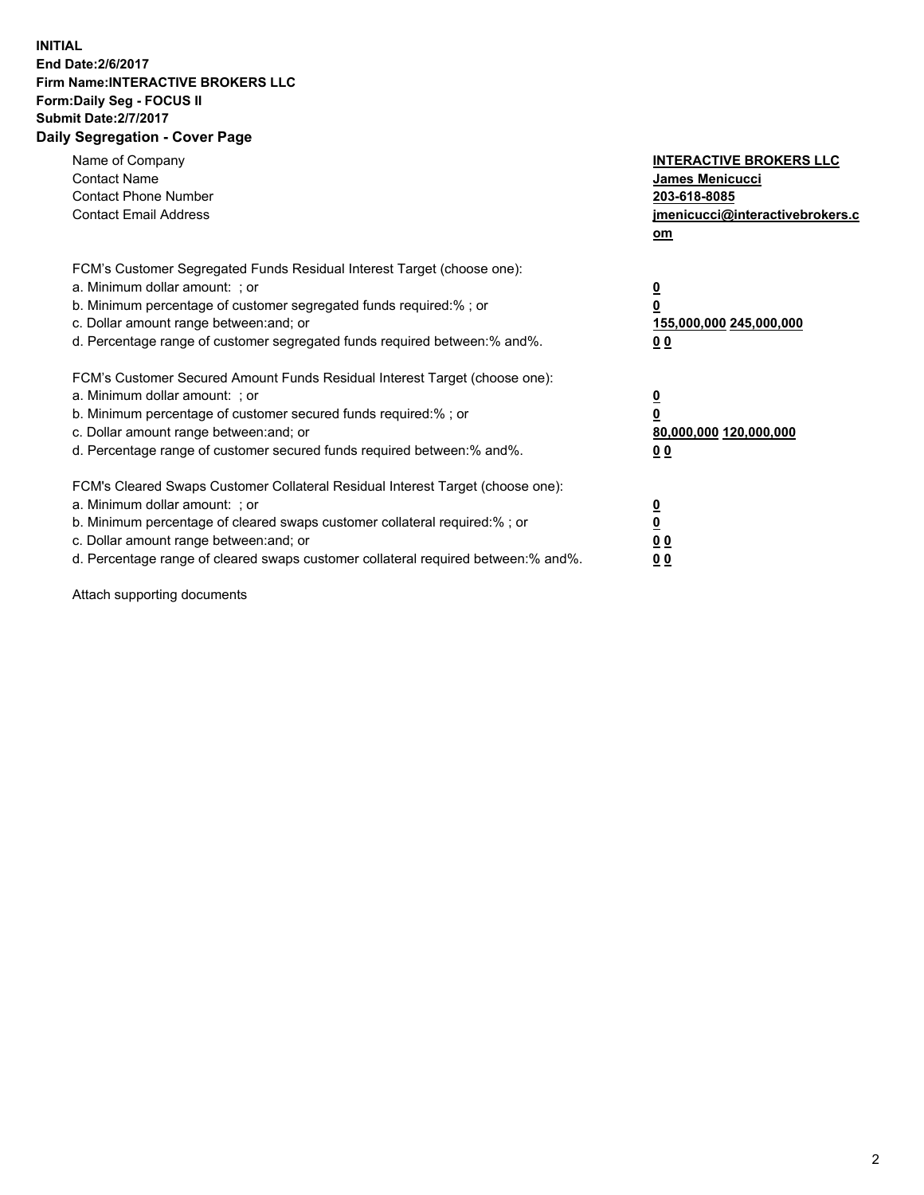## **INITIAL End Date:2/6/2017 Firm Name:INTERACTIVE BROKERS LLC Form:Daily Seg - FOCUS II Submit Date:2/7/2017 Daily Segregation - Cover Page**

| Name of Company<br><b>Contact Name</b><br><b>Contact Phone Number</b><br><b>Contact Email Address</b>                                                                                                                                                                                                                          | <b>INTERACTIVE BROKERS LLC</b><br>James Menicucci<br>203-618-8085<br>jmenicucci@interactivebrokers.c<br>om |
|--------------------------------------------------------------------------------------------------------------------------------------------------------------------------------------------------------------------------------------------------------------------------------------------------------------------------------|------------------------------------------------------------------------------------------------------------|
| FCM's Customer Segregated Funds Residual Interest Target (choose one):<br>a. Minimum dollar amount: ; or<br>b. Minimum percentage of customer segregated funds required:% ; or<br>c. Dollar amount range between: and; or<br>d. Percentage range of customer segregated funds required between:% and%.                         | $\overline{\mathbf{0}}$<br>0<br>155,000,000 245,000,000<br>0 <sub>0</sub>                                  |
| FCM's Customer Secured Amount Funds Residual Interest Target (choose one):<br>a. Minimum dollar amount: ; or<br>b. Minimum percentage of customer secured funds required:%; or<br>c. Dollar amount range between: and; or<br>d. Percentage range of customer secured funds required between: % and %.                          | $\overline{\mathbf{0}}$<br>0<br>80,000,000 120,000,000<br>0 <sub>0</sub>                                   |
| FCM's Cleared Swaps Customer Collateral Residual Interest Target (choose one):<br>a. Minimum dollar amount: ; or<br>b. Minimum percentage of cleared swaps customer collateral required:% ; or<br>c. Dollar amount range between: and; or<br>d. Percentage range of cleared swaps customer collateral required between:% and%. | $\overline{\mathbf{0}}$<br>$\overline{\mathbf{0}}$<br>0 <sub>0</sub><br>0 <sub>0</sub>                     |

Attach supporting documents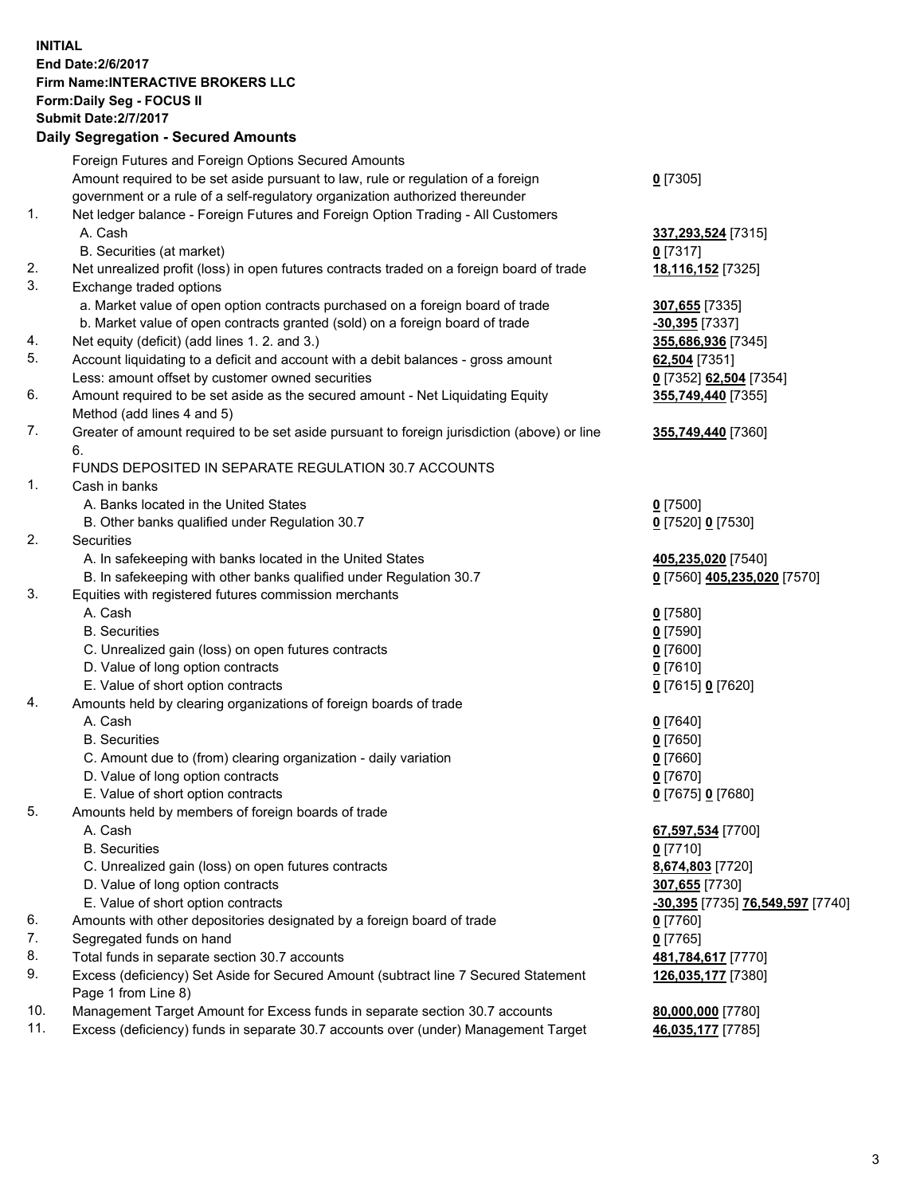## **INITIAL End Date:2/6/2017 Firm Name:INTERACTIVE BROKERS LLC Form:Daily Seg - FOCUS II Submit Date:2/7/2017 Daily Segregation - Secured Amounts**

|     | <b>Dany Ocgregation - Occarea Amounts</b>                                                                  |                                  |
|-----|------------------------------------------------------------------------------------------------------------|----------------------------------|
|     | Foreign Futures and Foreign Options Secured Amounts                                                        |                                  |
|     | Amount required to be set aside pursuant to law, rule or regulation of a foreign                           | $0$ [7305]                       |
|     | government or a rule of a self-regulatory organization authorized thereunder                               |                                  |
| 1.  | Net ledger balance - Foreign Futures and Foreign Option Trading - All Customers                            |                                  |
|     | A. Cash                                                                                                    | 337,293,524 [7315]               |
|     | B. Securities (at market)                                                                                  | $0$ [7317]                       |
| 2.  | Net unrealized profit (loss) in open futures contracts traded on a foreign board of trade                  | 18,116,152 [7325]                |
| 3.  | Exchange traded options                                                                                    |                                  |
|     | a. Market value of open option contracts purchased on a foreign board of trade                             | 307,655 [7335]                   |
|     | b. Market value of open contracts granted (sold) on a foreign board of trade                               | $-30,395$ [7337]                 |
| 4.  | Net equity (deficit) (add lines 1.2. and 3.)                                                               | 355,686,936 [7345]               |
| 5.  | Account liquidating to a deficit and account with a debit balances - gross amount                          | 62,504 [7351]                    |
|     | Less: amount offset by customer owned securities                                                           | 0 [7352] 62,504 [7354]           |
| 6.  | Amount required to be set aside as the secured amount - Net Liquidating Equity                             | 355,749,440 [7355]               |
|     | Method (add lines 4 and 5)                                                                                 |                                  |
| 7.  | Greater of amount required to be set aside pursuant to foreign jurisdiction (above) or line                | 355,749,440 [7360]               |
|     | 6.                                                                                                         |                                  |
|     | FUNDS DEPOSITED IN SEPARATE REGULATION 30.7 ACCOUNTS                                                       |                                  |
| 1.  | Cash in banks                                                                                              |                                  |
|     | A. Banks located in the United States                                                                      | <u>0</u> [7500]                  |
|     | B. Other banks qualified under Regulation 30.7                                                             | 0 [7520] 0 [7530]                |
| 2.  | Securities                                                                                                 |                                  |
|     | A. In safekeeping with banks located in the United States                                                  | 405,235,020 [7540]               |
|     | B. In safekeeping with other banks qualified under Regulation 30.7                                         | 0 [7560] 405,235,020 [7570]      |
| 3.  | Equities with registered futures commission merchants                                                      |                                  |
|     | A. Cash                                                                                                    | $0$ [7580]                       |
|     | <b>B.</b> Securities                                                                                       | $0$ [7590]                       |
|     | C. Unrealized gain (loss) on open futures contracts                                                        | $0$ [7600]                       |
|     | D. Value of long option contracts                                                                          | $0$ [7610]                       |
|     | E. Value of short option contracts                                                                         | 0 [7615] 0 [7620]                |
| 4.  | Amounts held by clearing organizations of foreign boards of trade                                          |                                  |
|     | A. Cash                                                                                                    | $0$ [7640]                       |
|     | <b>B.</b> Securities                                                                                       | $0$ [7650]                       |
|     | C. Amount due to (from) clearing organization - daily variation                                            | $0$ [7660]                       |
|     | D. Value of long option contracts                                                                          | $0$ [7670]                       |
|     | E. Value of short option contracts                                                                         | 0 [7675] 0 [7680]                |
| 5.  | Amounts held by members of foreign boards of trade                                                         |                                  |
|     | A. Cash                                                                                                    | 67,597,534 [7700]                |
|     | <b>B.</b> Securities                                                                                       | $0$ [7710]                       |
|     | C. Unrealized gain (loss) on open futures contracts                                                        | 8,674,803 [7720]                 |
|     | D. Value of long option contracts                                                                          | 307,655 [7730]                   |
|     | E. Value of short option contracts                                                                         | -30,395 [7735] 76,549,597 [7740] |
| 6.  | Amounts with other depositories designated by a foreign board of trade                                     | 0 [7760]                         |
| 7.  | Segregated funds on hand                                                                                   | $0$ [7765]                       |
| 8.  | Total funds in separate section 30.7 accounts                                                              | 481,784,617 [7770]               |
| 9.  | Excess (deficiency) Set Aside for Secured Amount (subtract line 7 Secured Statement<br>Page 1 from Line 8) | 126,035,177 [7380]               |
| 10. | Management Target Amount for Excess funds in separate section 30.7 accounts                                | 80,000,000 [7780]                |
| 11. | Excess (deficiency) funds in separate 30.7 accounts over (under) Management Target                         | 46,035,177 [7785]                |
|     |                                                                                                            |                                  |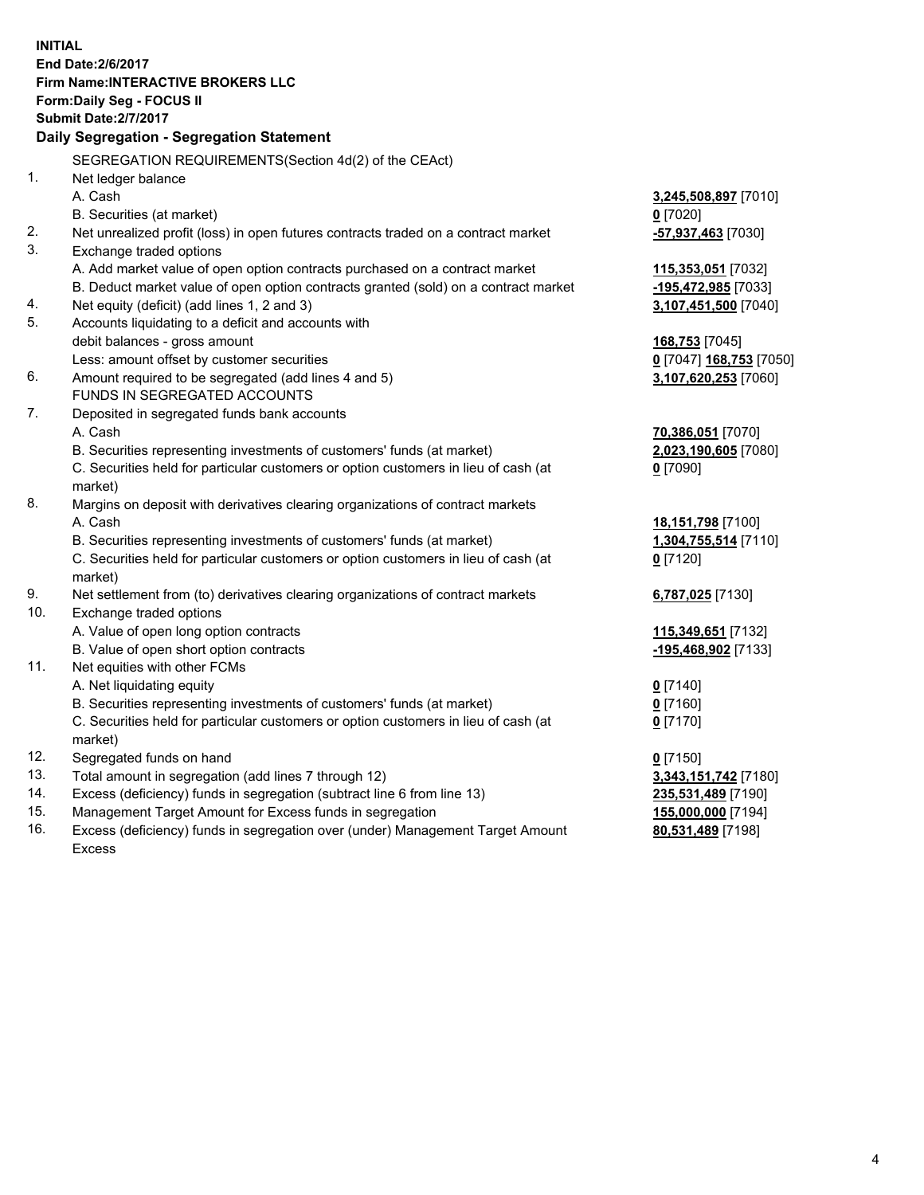**INITIAL End Date:2/6/2017 Firm Name:INTERACTIVE BROKERS LLC Form:Daily Seg - FOCUS II Submit Date:2/7/2017 Daily Segregation - Segregation Statement** SEGREGATION REQUIREMENTS(Section 4d(2) of the CEAct) 1. Net ledger balance A. Cash **3,245,508,897** [7010] B. Securities (at market) **0** [7020] 2. Net unrealized profit (loss) in open futures contracts traded on a contract market **-57,937,463** [7030] 3. Exchange traded options A. Add market value of open option contracts purchased on a contract market **115,353,051** [7032] B. Deduct market value of open option contracts granted (sold) on a contract market **-195,472,985** [7033] 4. Net equity (deficit) (add lines 1, 2 and 3) **3,107,451,500** [7040] 5. Accounts liquidating to a deficit and accounts with debit balances - gross amount **168,753** [7045] Less: amount offset by customer securities **0** [7047] **168,753** [7050] 6. Amount required to be segregated (add lines 4 and 5) **3,107,620,253** [7060] FUNDS IN SEGREGATED ACCOUNTS 7. Deposited in segregated funds bank accounts A. Cash **70,386,051** [7070] B. Securities representing investments of customers' funds (at market) **2,023,190,605** [7080] C. Securities held for particular customers or option customers in lieu of cash (at market) **0** [7090] 8. Margins on deposit with derivatives clearing organizations of contract markets A. Cash **18,151,798** [7100] B. Securities representing investments of customers' funds (at market) **1,304,755,514** [7110] C. Securities held for particular customers or option customers in lieu of cash (at market) **0** [7120] 9. Net settlement from (to) derivatives clearing organizations of contract markets **6,787,025** [7130] 10. Exchange traded options A. Value of open long option contracts **115,349,651** [7132] B. Value of open short option contracts **-195,468,902** [7133] 11. Net equities with other FCMs A. Net liquidating equity **0** [7140] B. Securities representing investments of customers' funds (at market) **0** [7160] C. Securities held for particular customers or option customers in lieu of cash (at market) **0** [7170] 12. Segregated funds on hand **0** [7150] 13. Total amount in segregation (add lines 7 through 12) **3,343,151,742** [7180] 14. Excess (deficiency) funds in segregation (subtract line 6 from line 13) **235,531,489** [7190] 15. Management Target Amount for Excess funds in segregation **155,000,000** [7194] **80,531,489** [7198]

16. Excess (deficiency) funds in segregation over (under) Management Target Amount Excess